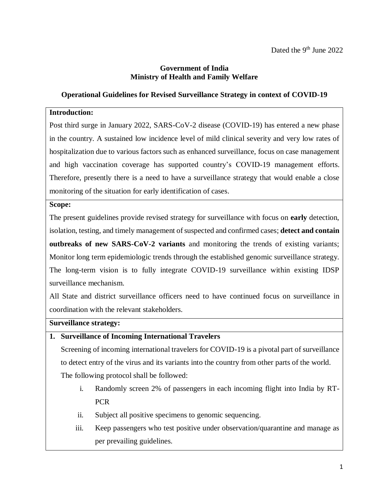### **Government of India Ministry of Health and Family Welfare**

### **Operational Guidelines for Revised Surveillance Strategy in context of COVID-19**

### **Introduction:**

Post third surge in January 2022, SARS-CoV-2 disease (COVID-19) has entered a new phase in the country. A sustained low incidence level of mild clinical severity and very low rates of hospitalization due to various factors such as enhanced surveillance, focus on case management and high vaccination coverage has supported country's COVID-19 management efforts. Therefore, presently there is a need to have a surveillance strategy that would enable a close monitoring of the situation for early identification of cases.

### **Scope:**

The present guidelines provide revised strategy for surveillance with focus on **early** detection, isolation, testing, and timely management of suspected and confirmed cases; **detect and contain outbreaks of new SARS-CoV-2 variants** and monitoring the trends of existing variants; Monitor long term epidemiologic trends through the established genomic surveillance strategy. The long-term vision is to fully integrate COVID-19 surveillance within existing IDSP surveillance mechanism.

All State and district surveillance officers need to have continued focus on surveillance in coordination with the relevant stakeholders.

#### **Surveillance strategy:**

### **1. Surveillance of Incoming International Travelers**

Screening of incoming international travelers for COVID-19 is a pivotal part of surveillance to detect entry of the virus and its variants into the country from other parts of the world. The following protocol shall be followed:

- i. Randomly screen 2% of passengers in each incoming flight into India by RT-PCR
- ii. Subject all positive specimens to genomic sequencing.
- iii. Keep passengers who test positive under observation/quarantine and manage as per prevailing guidelines.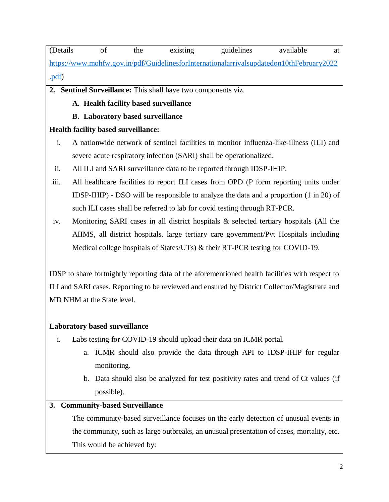| (Details)                                                                                |  | the | existing | guidelines | available | at |
|------------------------------------------------------------------------------------------|--|-----|----------|------------|-----------|----|
| https://www.mohfw.gov.in/pdf/GuidelinesforInternationalarrivalsupdatedon10thFebruary2022 |  |     |          |            |           |    |
| .pdf)                                                                                    |  |     |          |            |           |    |

**2. Sentinel Surveillance:** This shall have two components viz.

**A. Health facility based surveillance**

## **B. Laboratory based surveillance**

## **Health facility based surveillance:**

- i. A nationwide network of sentinel facilities to monitor influenza-like-illness (ILI) and severe acute respiratory infection (SARI) shall be operationalized.
- ii. All ILI and SARI surveillance data to be reported through IDSP-IHIP.
- iii. All healthcare facilities to report ILI cases from OPD (P form reporting units under IDSP-IHIP) - DSO will be responsible to analyze the data and a proportion (1 in 20) of such ILI cases shall be referred to lab for covid testing through RT-PCR.
- iv. Monitoring SARI cases in all district hospitals & selected tertiary hospitals (All the AIIMS, all district hospitals, large tertiary care government/Pvt Hospitals including Medical college hospitals of States/UTs) & their RT-PCR testing for COVID-19.

IDSP to share fortnightly reporting data of the aforementioned health facilities with respect to ILI and SARI cases. Reporting to be reviewed and ensured by District Collector/Magistrate and MD NHM at the State level.

## **Laboratory based surveillance**

- i. Labs testing for COVID-19 should upload their data on ICMR portal.
	- a. ICMR should also provide the data through API to IDSP-IHIP for regular monitoring.
	- b. Data should also be analyzed for test positivity rates and trend of Ct values (if possible).

# **3. Community-based Surveillance**

The community-based surveillance focuses on the early detection of unusual events in the community, such as large outbreaks, an unusual presentation of cases, mortality, etc. This would be achieved by: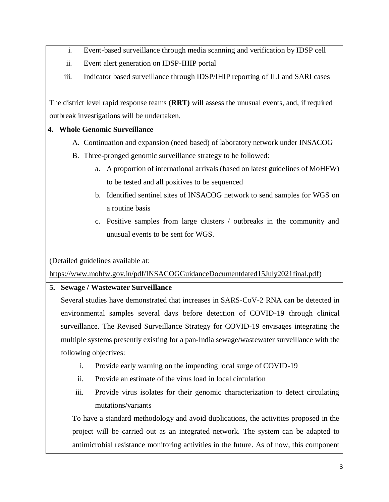- i. Event-based surveillance through media scanning and verification by IDSP cell
- ii. Event alert generation on IDSP-IHIP portal
- iii. Indicator based surveillance through IDSP/IHIP reporting of ILI and SARI cases

The district level rapid response teams **(RRT)** will assess the unusual events, and, if required outbreak investigations will be undertaken.

## **4. Whole Genomic Surveillance**

- A. Continuation and expansion (need based) of laboratory network under INSACOG
- B. Three-pronged genomic surveillance strategy to be followed:
	- a. A proportion of international arrivals (based on latest guidelines of MoHFW) to be tested and all positives to be sequenced
	- b. Identified sentinel sites of INSACOG network to send samples for WGS on a routine basis
	- c. Positive samples from large clusters / outbreaks in the community and unusual events to be sent for WGS.

(Detailed guidelines available at:

[https://www.mohfw.gov.in/pdf/INSACOGGuidanceDocumentdated15July2021final.pdf\)](https://www.mohfw.gov.in/pdf/INSACOGGuidanceDocumentdated15July2021final.pdf)

# **5. Sewage / Wastewater Surveillance**

Several studies have demonstrated that increases in SARS-CoV-2 RNA can be detected in environmental samples several days before detection of COVID-19 through clinical surveillance. The Revised Surveillance Strategy for COVID-19 envisages integrating the multiple systems presently existing for a pan-India sewage/wastewater surveillance with the following objectives:

- i. Provide early warning on the impending local surge of COVID-19
- ii. Provide an estimate of the virus load in local circulation
- iii. Provide virus isolates for their genomic characterization to detect circulating mutations/variants

To have a standard methodology and avoid duplications, the activities proposed in the project will be carried out as an integrated network. The system can be adapted to antimicrobial resistance monitoring activities in the future. As of now, this component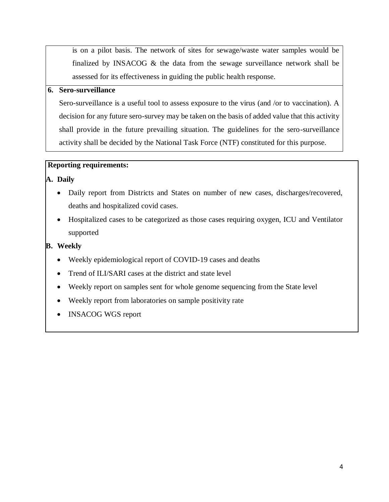is on a pilot basis. The network of sites for sewage/waste water samples would be finalized by INSACOG & the data from the sewage surveillance network shall be assessed for its effectiveness in guiding the public health response.

### **6. Sero-surveillance**

Sero-surveillance is a useful tool to assess exposure to the virus (and /or to vaccination). A decision for any future sero-survey may be taken on the basis of added value that this activity shall provide in the future prevailing situation. The guidelines for the sero-surveillance activity shall be decided by the National Task Force (NTF) constituted for this purpose.

### **Reporting requirements:**

### **A. Daily**

- Daily report from Districts and States on number of new cases, discharges/recovered, deaths and hospitalized covid cases.
- Hospitalized cases to be categorized as those cases requiring oxygen, ICU and Ventilator supported

## **B. Weekly**

- Weekly epidemiological report of COVID-19 cases and deaths
- Trend of ILI/SARI cases at the district and state level
- Weekly report on samples sent for whole genome sequencing from the State level
- Weekly report from laboratories on sample positivity rate
- INSACOG WGS report